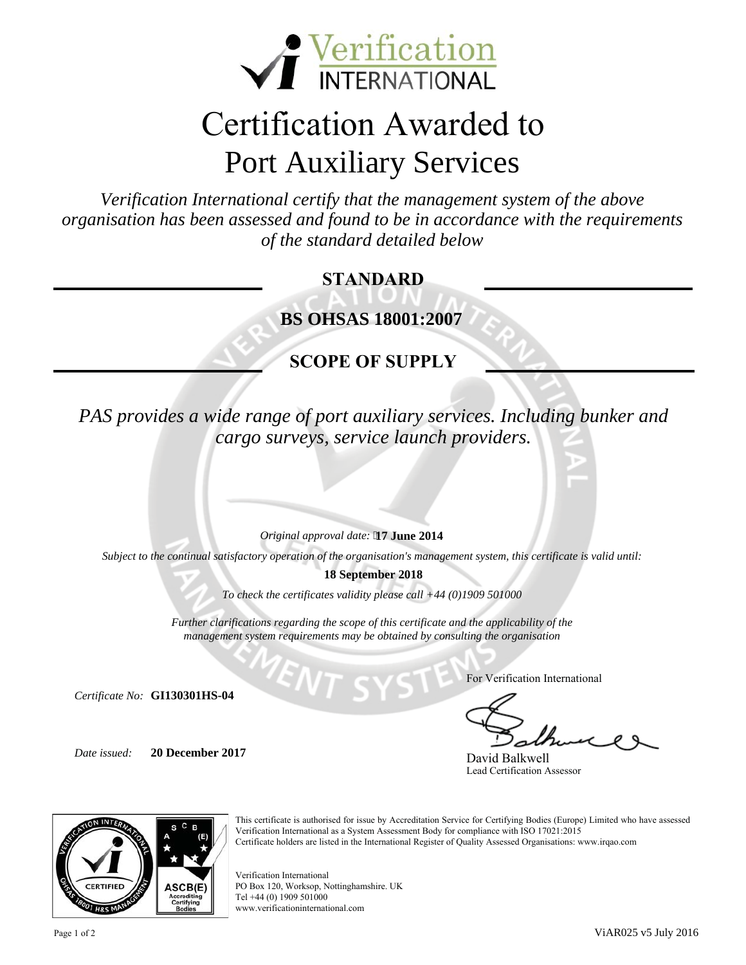

# Certification Awarded to Port Auxiliary Services

organisation has been assessed and found to be in accordance with the requirements<br>of the standard detailed below *Verification International certify that the management system of the above of the standard detailed below*

#### **STANDARD**

 **BS OHSAS 18001:2007**

#### **SCOPE OF SUPPLY**

*R cargo surveys, service launch providers. PAS provides a wide range of port auxiliary services. Including bunker and* 

*Original approval date:*  **17 June 2014**

*Subject to the continual satisfactory operation of the organisation's management system, this certificate is valid until:*

**18 September 2018**

*To check the certificates validity please call +44 (0)1909 501000* 

*Further clarifications regarding the scope of this certificate and the applicability of the management system requirements may be obtained by consulting the organisation*

*Certificate No:*  **GI130301HS-04**

*Date issued:*  **20 December 2017** For Verification International

David Balkwell Lead Certification Assessor



This certificate is authorised for issue by Accreditation Service for Certifying Bodies (Europe) Limited who have assessed Verification International as a System Assessment Body for compliance with ISO 17021:2015 Certificate holders are listed in the International Register of Quality Assessed Organisations: www.irqao.com

Verification International PO Box 120, Worksop, Nottinghamshire. UK Tel +44 (0) 1909 501000 www.verificationinternational.com